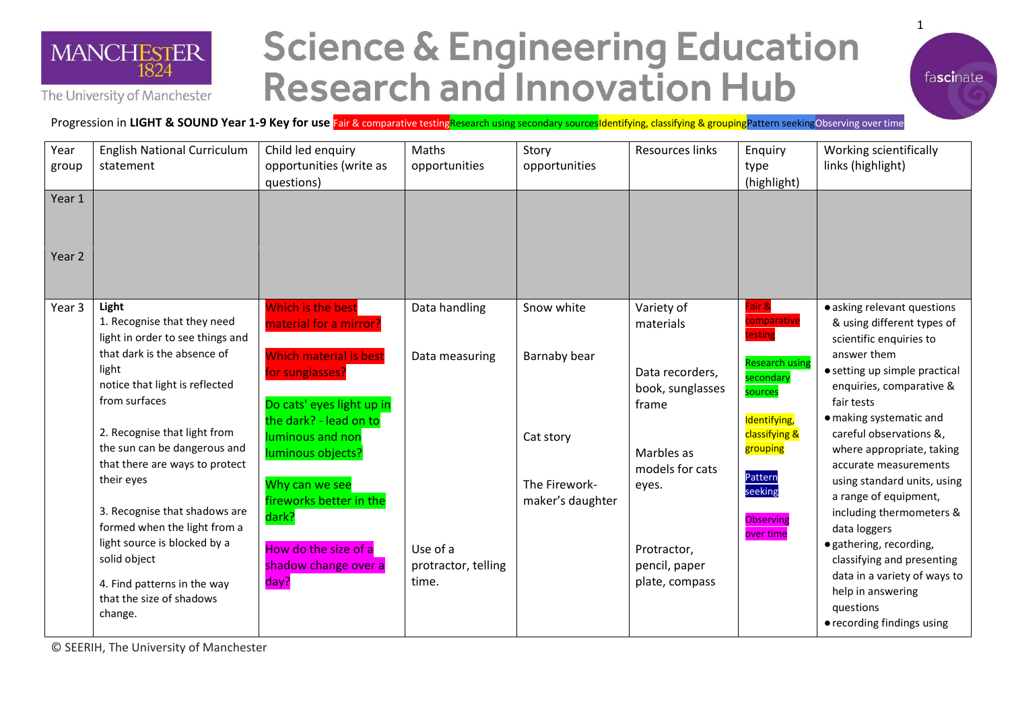

## **Science & Engineering Education Research and Innovation Hub**

The University of Manchester

Progression in LIGHT & SOUND Year 1-9 Key for use Fair & comparative testingResearch using secondary sources Identifying, classifying & groupingPattern seekingObserving over time

| Year<br>group | <b>English National Curriculum</b><br>statement                                                                    | Child led enquiry<br>opportunities (write as<br>questions)             | Maths<br>opportunities                   | Story<br>opportunities     | <b>Resources links</b>                         | Enquiry<br>type<br>(highlight)                       | Working scientifically<br>links (highlight)                                                                                             |
|---------------|--------------------------------------------------------------------------------------------------------------------|------------------------------------------------------------------------|------------------------------------------|----------------------------|------------------------------------------------|------------------------------------------------------|-----------------------------------------------------------------------------------------------------------------------------------------|
| Year 1        |                                                                                                                    |                                                                        |                                          |                            |                                                |                                                      |                                                                                                                                         |
| Year 2        |                                                                                                                    |                                                                        |                                          |                            |                                                |                                                      |                                                                                                                                         |
| Year 3        | Light<br>1. Recognise that they need<br>light in order to see things and                                           | Which is the best<br>material for a mirror?                            | Data handling                            | Snow white                 | Variety of<br>materials                        | Fair &<br>comparative<br>testing                     | · asking relevant questions<br>& using different types of<br>scientific enquiries to                                                    |
|               | that dark is the absence of<br>light<br>notice that light is reflected<br>from surfaces                            | Which material is best<br>for sunglasses?<br>Do cats' eyes light up in | Data measuring                           | Barnaby bear               | Data recorders,<br>book, sunglasses<br>frame   | <b>Research using</b><br>secondary<br>sources        | answer them<br>• setting up simple practical<br>enquiries, comparative &<br>fair tests                                                  |
|               | 2. Recognise that light from<br>the sun can be dangerous and<br>that there are ways to protect<br>their eyes       | the dark? - lead on to<br>luminous and non<br>luminous objects?        |                                          | Cat story<br>The Firework- | Marbles as<br>models for cats                  | Identifying,<br>classifying &<br>grouping<br>Pattern | · making systematic and<br>careful observations &,<br>where appropriate, taking<br>accurate measurements<br>using standard units, using |
|               | 3. Recognise that shadows are<br>formed when the light from a                                                      | Why can we see<br>fireworks better in the<br>dark?                     |                                          | maker's daughter           | eyes.                                          | seeking<br><b>Observing</b><br>over time             | a range of equipment,<br>including thermometers &<br>data loggers                                                                       |
|               | light source is blocked by a<br>solid object<br>4. Find patterns in the way<br>that the size of shadows<br>change. | How do the size of a<br>shadow change over a<br>day?                   | Use of a<br>protractor, telling<br>time. |                            | Protractor,<br>pencil, paper<br>plate, compass |                                                      | · gathering, recording,<br>classifying and presenting<br>data in a variety of ways to<br>help in answering<br>questions                 |
|               |                                                                                                                    |                                                                        |                                          |                            |                                                |                                                      | • recording findings using                                                                                                              |

© SEERIH, The University of Manchester

fascinate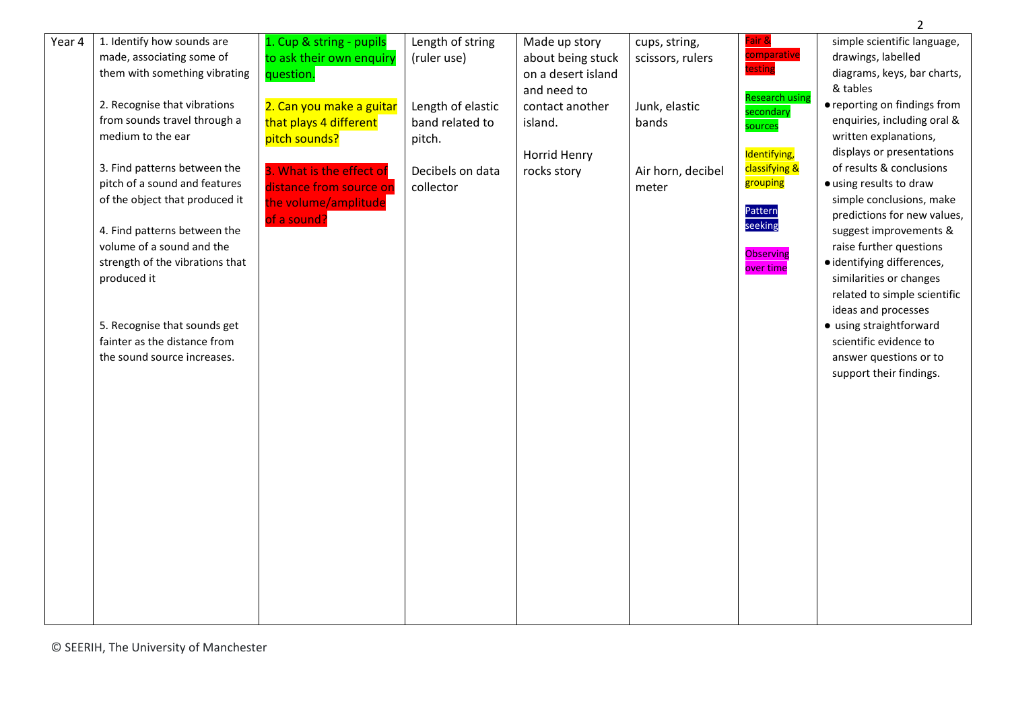|        |                                                                                                                                                                                                                |                                                                                            |                                                |                                                                         |                                   |                                                                                  | $\overline{2}$                                                                                                                                                                                                                                               |
|--------|----------------------------------------------------------------------------------------------------------------------------------------------------------------------------------------------------------------|--------------------------------------------------------------------------------------------|------------------------------------------------|-------------------------------------------------------------------------|-----------------------------------|----------------------------------------------------------------------------------|--------------------------------------------------------------------------------------------------------------------------------------------------------------------------------------------------------------------------------------------------------------|
| Year 4 | 1. Identify how sounds are<br>made, associating some of<br>them with something vibrating                                                                                                                       | 1. Cup & string - pupils<br>to ask their own enquiry<br>question.                          | Length of string<br>(ruler use)                | Made up story<br>about being stuck<br>on a desert island<br>and need to | cups, string,<br>scissors, rulers | air &<br>comparative<br>testing                                                  | simple scientific language,<br>drawings, labelled<br>diagrams, keys, bar charts,<br>& tables                                                                                                                                                                 |
|        | 2. Recognise that vibrations<br>from sounds travel through a<br>medium to the ear                                                                                                                              | 2. Can you make a guitar<br>that plays 4 different<br>pitch sounds?                        | Length of elastic<br>band related to<br>pitch. | contact another<br>island.<br>Horrid Henry                              | Junk, elastic<br>bands            | <b>Research using</b><br>secondary<br>sources<br>Identifying,                    | • reporting on findings from<br>enquiries, including oral &<br>written explanations,<br>displays or presentations                                                                                                                                            |
|        | 3. Find patterns between the<br>pitch of a sound and features<br>of the object that produced it<br>4. Find patterns between the<br>volume of a sound and the<br>strength of the vibrations that<br>produced it | 3. What is the effect of<br>distance from source on<br>the volume/amplitude<br>of a sound? | Decibels on data<br>collector                  | rocks story                                                             | Air horn, decibel<br>meter        | classifying &<br>grouping<br>Pattern<br>seeking<br><b>Observing</b><br>over time | of results & conclusions<br>· using results to draw<br>simple conclusions, make<br>predictions for new values,<br>suggest improvements &<br>raise further questions<br>· identifying differences,<br>similarities or changes<br>related to simple scientific |
|        | 5. Recognise that sounds get<br>fainter as the distance from<br>the sound source increases.                                                                                                                    |                                                                                            |                                                |                                                                         |                                   |                                                                                  | ideas and processes<br>• using straightforward<br>scientific evidence to<br>answer questions or to<br>support their findings.                                                                                                                                |
|        |                                                                                                                                                                                                                |                                                                                            |                                                |                                                                         |                                   |                                                                                  |                                                                                                                                                                                                                                                              |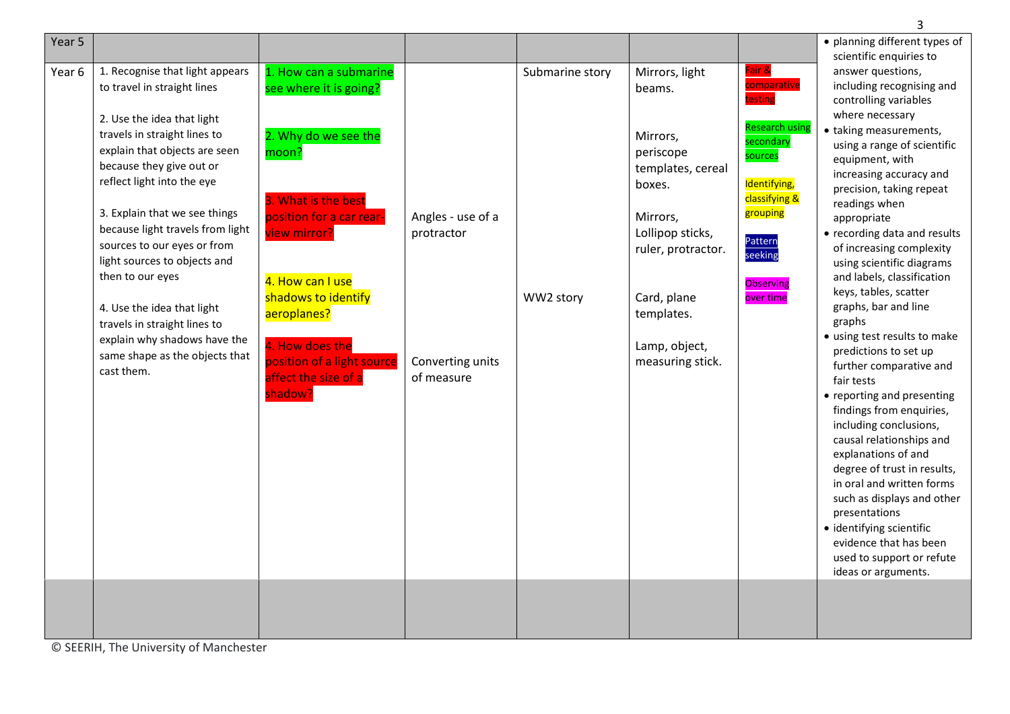| Year 5<br>Year <sub>6</sub> | 1. Recognise that light appears<br>to travel in straight lines<br>2. Use the idea that light<br>travels in straight lines to<br>explain that objects are seen<br>because they give out or<br>reflect light into the eye<br>3. Explain that we see things<br>because light travels from light<br>sources to our eyes or from<br>light sources to objects and<br>then to our eyes<br>4. Use the idea that light<br>travels in straight lines to<br>explain why shadows have the<br>same shape as the objects that<br>cast them. | 1. How can a submarine<br>see where it is going?<br>2. Why do we see the<br>moon?<br>3. What is the best<br>position for a car rear-<br>view mirror?<br>4. How can I use<br>shadows to identify<br>aeroplanes?<br>4. How does the<br>position of a light source<br>affect the size of a<br>shadow? | Angles - use of a<br>protractor<br>Converting units<br>of measure | Submarine story<br>WW2 story | Mirrors, light<br>beams.<br>Mirrors,<br>periscope<br>templates, cereal<br>boxes.<br>Mirrors,<br>Lollipop sticks,<br>ruler, protractor.<br>Card, plane<br>templates.<br>Lamp, object,<br>measuring stick. | Fair &<br>comparative<br>testing<br><b>Research using</b><br>secondary<br>sources<br>Identifying,<br>classifying &<br>grouping<br>Pattern<br>seeking<br><b>Observing</b><br>over time | • planning different types of<br>scientific enquiries to<br>answer questions,<br>including recognising and<br>controlling variables<br>where necessary<br>• taking measurements,<br>using a range of scientific<br>equipment, with<br>increasing accuracy and<br>precision, taking repeat<br>readings when<br>appropriate<br>• recording data and results<br>of increasing complexity<br>using scientific diagrams<br>and labels, classification<br>keys, tables, scatter<br>graphs, bar and line<br>graphs<br>• using test results to make<br>predictions to set up<br>further comparative and<br>fair tests<br>• reporting and presenting<br>findings from enquiries,<br>including conclusions,<br>causal relationships and<br>explanations of and<br>degree of trust in results,<br>in oral and written forms<br>such as displays and other<br>presentations<br>· identifying scientific<br>evidence that has been |
|-----------------------------|-------------------------------------------------------------------------------------------------------------------------------------------------------------------------------------------------------------------------------------------------------------------------------------------------------------------------------------------------------------------------------------------------------------------------------------------------------------------------------------------------------------------------------|----------------------------------------------------------------------------------------------------------------------------------------------------------------------------------------------------------------------------------------------------------------------------------------------------|-------------------------------------------------------------------|------------------------------|----------------------------------------------------------------------------------------------------------------------------------------------------------------------------------------------------------|---------------------------------------------------------------------------------------------------------------------------------------------------------------------------------------|-----------------------------------------------------------------------------------------------------------------------------------------------------------------------------------------------------------------------------------------------------------------------------------------------------------------------------------------------------------------------------------------------------------------------------------------------------------------------------------------------------------------------------------------------------------------------------------------------------------------------------------------------------------------------------------------------------------------------------------------------------------------------------------------------------------------------------------------------------------------------------------------------------------------------|
|                             |                                                                                                                                                                                                                                                                                                                                                                                                                                                                                                                               |                                                                                                                                                                                                                                                                                                    |                                                                   |                              |                                                                                                                                                                                                          |                                                                                                                                                                                       | used to support or refute<br>ideas or arguments.                                                                                                                                                                                                                                                                                                                                                                                                                                                                                                                                                                                                                                                                                                                                                                                                                                                                      |

© SEERIH, The University of Manchester

3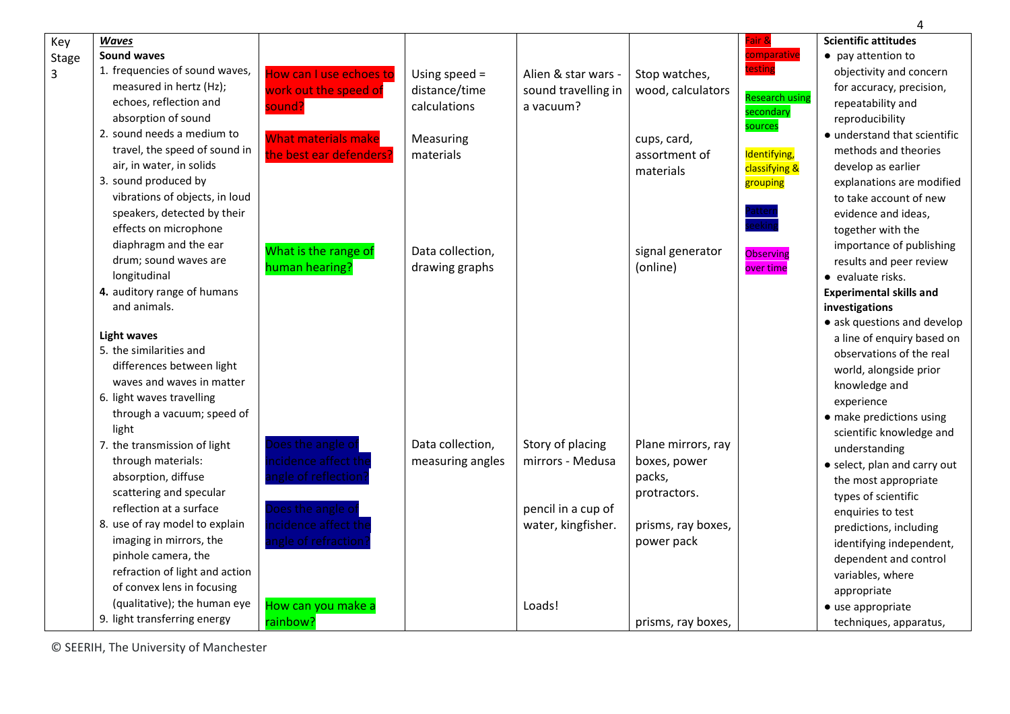| Key<br>Stage<br>$\overline{3}$ | <b>Waves</b><br><b>Sound waves</b><br>1. frequencies of sound waves,<br>measured in hertz (Hz);<br>echoes, reflection and<br>absorption of sound<br>2. sound needs a medium to<br>travel, the speed of sound in<br>air, in water, in solids<br>3. sound produced by<br>vibrations of objects, in loud<br>speakers, detected by their | How can I use echoes to<br>work out the speed of<br>sound?<br><b>What materials make</b><br>the best ear defenders? | Using speed $=$<br>distance/time<br>calculations<br>Measuring<br>materials | Alien & star wars -<br>sound travelling in<br>a vacuum?    | Stop watches,<br>wood, calculators<br>cups, card,<br>assortment of<br>materials | Fair &<br>comparative<br>testing<br><b>Research using</b><br>secondary<br>sources<br>Identifying,<br>classifying &<br>grouping | <b>Scientific attitudes</b><br>• pay attention to<br>objectivity and concern<br>for accuracy, precision,<br>repeatability and<br>reproducibility<br>• understand that scientific<br>methods and theories<br>develop as earlier<br>explanations are modified<br>to take account of new<br>evidence and ideas, |
|--------------------------------|--------------------------------------------------------------------------------------------------------------------------------------------------------------------------------------------------------------------------------------------------------------------------------------------------------------------------------------|---------------------------------------------------------------------------------------------------------------------|----------------------------------------------------------------------------|------------------------------------------------------------|---------------------------------------------------------------------------------|--------------------------------------------------------------------------------------------------------------------------------|--------------------------------------------------------------------------------------------------------------------------------------------------------------------------------------------------------------------------------------------------------------------------------------------------------------|
|                                | effects on microphone<br>diaphragm and the ear<br>drum; sound waves are<br>longitudinal<br>4. auditory range of humans<br>and animals.                                                                                                                                                                                               | What is the range of<br>human hearing?                                                                              | Data collection,<br>drawing graphs                                         |                                                            | signal generator<br>(online)                                                    | <b>Observing</b><br>over time                                                                                                  | together with the<br>importance of publishing<br>results and peer review<br>• evaluate risks.<br><b>Experimental skills and</b><br>investigations                                                                                                                                                            |
|                                | <b>Light waves</b><br>5. the similarities and<br>differences between light<br>waves and waves in matter<br>6. light waves travelling<br>through a vacuum; speed of<br>light                                                                                                                                                          |                                                                                                                     |                                                                            |                                                            |                                                                                 |                                                                                                                                | • ask questions and develop<br>a line of enquiry based on<br>observations of the real<br>world, alongside prior<br>knowledge and<br>experience<br>· make predictions using                                                                                                                                   |
|                                | 7. the transmission of light<br>through materials:<br>absorption, diffuse<br>scattering and specular<br>reflection at a surface                                                                                                                                                                                                      | oes the angle o<br>ncidence affect the<br>ngle of reflection <sup>1</sup><br>loes the angle o                       | Data collection,<br>measuring angles                                       | Story of placing<br>mirrors - Medusa<br>pencil in a cup of | Plane mirrors, ray<br>boxes, power<br>packs,<br>protractors.                    |                                                                                                                                | scientific knowledge and<br>understanding<br>• select, plan and carry out<br>the most appropriate<br>types of scientific                                                                                                                                                                                     |
|                                | 8. use of ray model to explain<br>imaging in mirrors, the<br>pinhole camera, the<br>refraction of light and action<br>of convex lens in focusing                                                                                                                                                                                     | ncidence affect the<br>ngle of refraction                                                                           |                                                                            | water, kingfisher.                                         | prisms, ray boxes,<br>power pack                                                |                                                                                                                                | enquiries to test<br>predictions, including<br>identifying independent,<br>dependent and control<br>variables, where<br>appropriate                                                                                                                                                                          |
|                                | (qualitative); the human eye<br>9. light transferring energy                                                                                                                                                                                                                                                                         | How can you make a<br>rainbow?                                                                                      |                                                                            | Loads!                                                     | prisms, ray boxes,                                                              |                                                                                                                                | • use appropriate<br>techniques, apparatus,                                                                                                                                                                                                                                                                  |

© SEERIH, The University of Manchester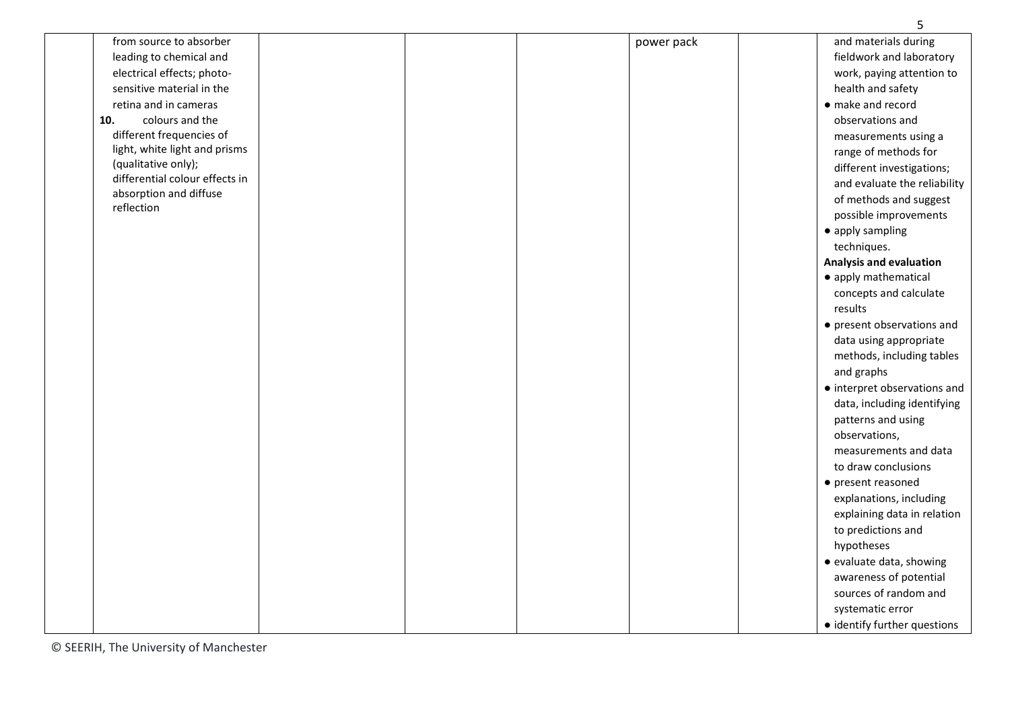| from source to absorber        | power pack | and materials during           |
|--------------------------------|------------|--------------------------------|
| leading to chemical and        |            | fieldwork and laboratory       |
| electrical effects; photo-     |            | work, paying attention to      |
| sensitive material in the      |            | health and safety              |
| retina and in cameras          |            | • make and record              |
| 10.<br>colours and the         |            | observations and               |
| different frequencies of       |            | measurements using a           |
| light, white light and prisms  |            | range of methods for           |
| (qualitative only);            |            | different investigations;      |
| differential colour effects in |            | and evaluate the reliability   |
| absorption and diffuse         |            | of methods and suggest         |
| reflection                     |            | possible improvements          |
|                                |            | • apply sampling               |
|                                |            | techniques.                    |
|                                |            | <b>Analysis and evaluation</b> |
|                                |            | • apply mathematical           |
|                                |            | concepts and calculate         |
|                                |            | results                        |
|                                |            | • present observations and     |
|                                |            | data using appropriate         |
|                                |            | methods, including tables      |
|                                |            | and graphs                     |
|                                |            | • interpret observations and   |
|                                |            | data, including identifying    |
|                                |            | patterns and using             |
|                                |            | observations,                  |
|                                |            | measurements and data          |
|                                |            | to draw conclusions            |
|                                |            | • present reasoned             |
|                                |            | explanations, including        |
|                                |            | explaining data in relation    |
|                                |            | to predictions and             |
|                                |            | hypotheses                     |
|                                |            | · evaluate data, showing       |
|                                |            | awareness of potential         |
|                                |            | sources of random and          |
|                                |            | systematic error               |
|                                |            | · identify further questions   |
|                                |            |                                |